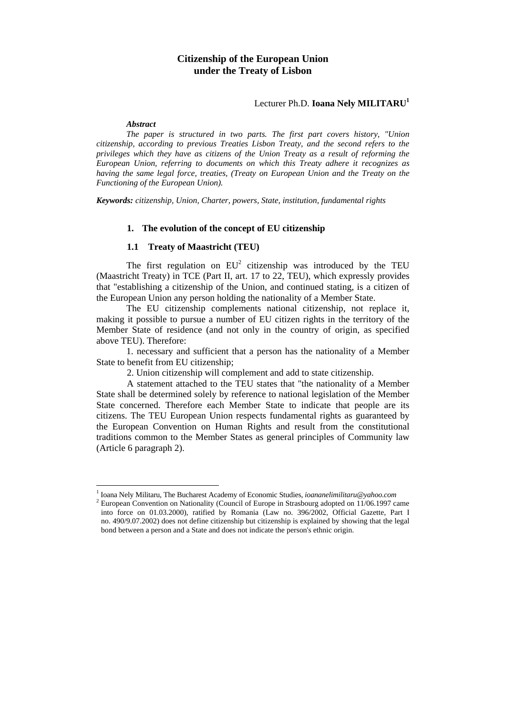# Lecturer Ph.D. **Ioana Nely MILITARU<sup>1</sup>**

#### *Abstract*

 $\overline{a}$ 

*The paper is structured in two parts. The first part covers history, "Union citizenship, according to previous Treaties Lisbon Treaty, and the second refers to the privileges which they have as citizens of the Union Treaty as a result of reforming the European Union, referring to documents on which this Treaty adhere it recognizes as having the same legal force, treaties, (Treaty on European Union and the Treaty on the Functioning of the European Union).* 

*Keywords: citizenship, Union, Charter, powers, State, institution, fundamental rights* 

#### **1. The evolution of the concept of EU citizenship**

## **1.1 Treaty of Maastricht (TEU)**

The first regulation on  $EU^2$  citizenship was introduced by the TEU (Maastricht Treaty) in TCE (Part II, art. 17 to 22, TEU), which expressly provides that "establishing a citizenship of the Union, and continued stating, is a citizen of the European Union any person holding the nationality of a Member State.

The EU citizenship complements national citizenship, not replace it, making it possible to pursue a number of EU citizen rights in the territory of the Member State of residence (and not only in the country of origin, as specified above TEU). Therefore:

1. necessary and sufficient that a person has the nationality of a Member State to benefit from EU citizenship;

2. Union citizenship will complement and add to state citizenship.

A statement attached to the TEU states that "the nationality of a Member State shall be determined solely by reference to national legislation of the Member State concerned. Therefore each Member State to indicate that people are its citizens. The TEU European Union respects fundamental rights as guaranteed by the European Convention on Human Rights and result from the constitutional traditions common to the Member States as general principles of Community law (Article 6 paragraph 2).

<sup>&</sup>lt;sup>1</sup> Ioana Nely Militaru, The Bucharest Academy of Economic Studies, *ioananelimilitaru@yahoo.com*<br><sup>2</sup> European Convention on Nationality (Council of Europe in Streebourg edented on 11/06 1997 a

<sup>&</sup>lt;sup>2</sup> European Convention on Nationality (Council of Europe in Strasbourg adopted on 11/06.1997 came into force on 01.03.2000), ratified by Romania (Law no. 396/2002, Official Gazette, Part I no. 490/9.07.2002) does not define citizenship but citizenship is explained by showing that the legal bond between a person and a State and does not indicate the person's ethnic origin.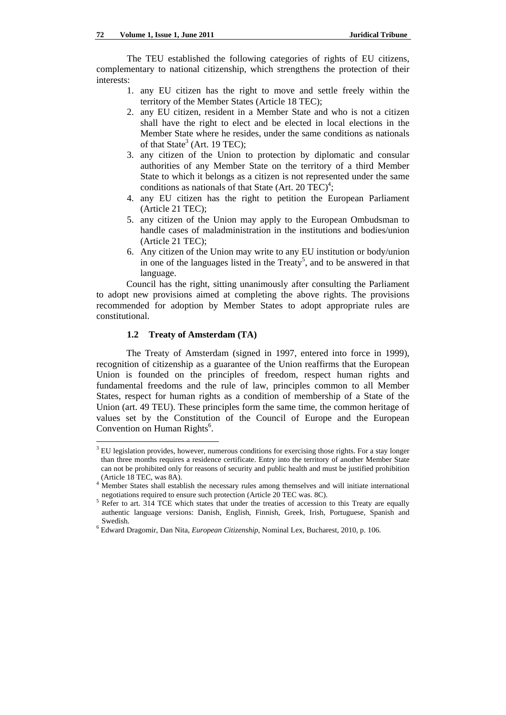The TEU established the following categories of rights of EU citizens, complementary to national citizenship, which strengthens the protection of their interests:

- 1. any EU citizen has the right to move and settle freely within the territory of the Member States (Article 18 TEC);
- 2. any EU citizen, resident in a Member State and who is not a citizen shall have the right to elect and be elected in local elections in the Member State where he resides, under the same conditions as nationals of that State<sup>3</sup> (Art. 19 TEC);
- 3. any citizen of the Union to protection by diplomatic and consular authorities of any Member State on the territory of a third Member State to which it belongs as a citizen is not represented under the same conditions as nationals of that State (Art. 20 TEC)<sup>4</sup>;
- 4. any EU citizen has the right to petition the European Parliament (Article 21 TEC);
- 5. any citizen of the Union may apply to the European Ombudsman to handle cases of maladministration in the institutions and bodies/union (Article 21 TEC);
- 6. Any citizen of the Union may write to any EU institution or body/union in one of the languages listed in the Treaty<sup>5</sup>, and to be answered in that language.

Council has the right, sitting unanimously after consulting the Parliament to adopt new provisions aimed at completing the above rights. The provisions recommended for adoption by Member States to adopt appropriate rules are constitutional.

### **1.2 Treaty of Amsterdam (TA)**

The Treaty of Amsterdam (signed in 1997, entered into force in 1999), recognition of citizenship as a guarantee of the Union reaffirms that the European Union is founded on the principles of freedom, respect human rights and fundamental freedoms and the rule of law, principles common to all Member States, respect for human rights as a condition of membership of a State of the Union (art. 49 TEU). These principles form the same time, the common heritage of values set by the Constitution of the Council of Europe and the European Convention on Human Rights<sup>6</sup>.

<sup>&</sup>lt;sup>3</sup> EU legislation provides, however, numerous conditions for exercising those rights. For a stay longer than three months requires a residence certificate. Entry into the territory of another Member State can not be prohibited only for reasons of security and public health and must be justified prohibition (Article 18 TEC, was 8A).

<sup>&</sup>lt;sup>4</sup> Member States shall establish the necessary rules among themselves and will initiate international negotiations required to ensure such protection (Article 20 TEC was. 8C).

Refer to art. 314 TCE which states that under the treaties of accession to this Treaty are equally authentic language versions: Danish, English, Finnish, Greek, Irish, Portuguese, Spanish and Swedish.

Edward Dragomir, Dan Nita, *European Citizenship*, Nominal Lex, Bucharest, 2010, p. 106.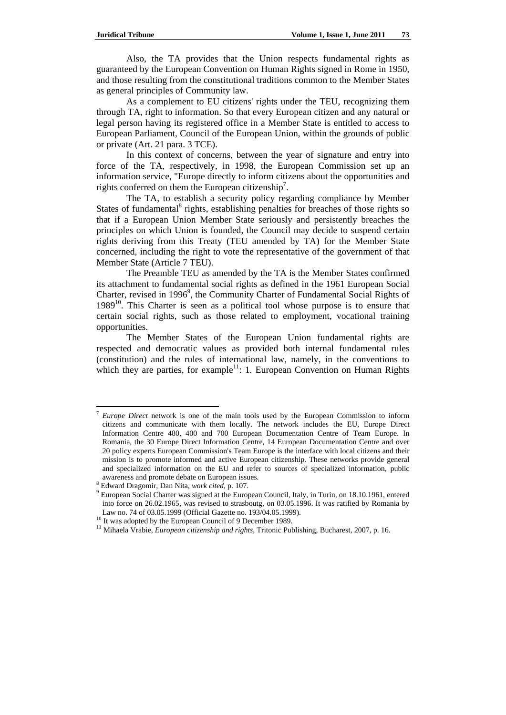Also, the TA provides that the Union respects fundamental rights as guaranteed by the European Convention on Human Rights signed in Rome in 1950, and those resulting from the constitutional traditions common to the Member States as general principles of Community law.

As a complement to EU citizens' rights under the TEU, recognizing them through TA, right to information. So that every European citizen and any natural or legal person having its registered office in a Member State is entitled to access to European Parliament, Council of the European Union, within the grounds of public or private (Art. 21 para. 3 TCE).

In this context of concerns, between the year of signature and entry into force of the TA, respectively, in 1998, the European Commission set up an information service, "Europe directly to inform citizens about the opportunities and rights conferred on them the European citizenship<sup>7</sup>.

The TA, to establish a security policy regarding compliance by Member States of fundamental<sup>8</sup> rights, establishing penalties for breaches of those rights so that if a European Union Member State seriously and persistently breaches the principles on which Union is founded, the Council may decide to suspend certain rights deriving from this Treaty (TEU amended by TA) for the Member State concerned, including the right to vote the representative of the government of that Member State (Article 7 TEU).

The Preamble TEU as amended by the TA is the Member States confirmed its attachment to fundamental social rights as defined in the 1961 European Social Charter, revised in 1996<sup>9</sup>, the Community Charter of Fundamental Social Rights of  $1989<sup>10</sup>$ . This Charter is seen as a political tool whose purpose is to ensure that certain social rights, such as those related to employment, vocational training opportunities.

The Member States of the European Union fundamental rights are respected and democratic values as provided both internal fundamental rules (constitution) and the rules of international law, namely, in the conventions to which they are parties, for example<sup>11</sup>: 1. European Convention on Human Rights

<sup>7</sup> *Europe Direct* network is one of the main tools used by the European Commission to inform citizens and communicate with them locally. The network includes the EU, Europe Direct Information Centre 480, 400 and 700 European Documentation Centre of Team Europe. In Romania, the 30 Europe Direct Information Centre, 14 European Documentation Centre and over 20 policy experts European Commission's Team Europe is the interface with local citizens and their mission is to promote informed and active European citizenship. These networks provide general and specialized information on the EU and refer to sources of specialized information, public awareness and promote debate on European issues.

<sup>&</sup>lt;sup>8</sup> Edward Dragomir, Dan Nita, *work cited*, p. 107.

<sup>&</sup>lt;sup>9</sup> European Social Charter was signed at the European Council, Italy, in Turin, on 18.10.1961, entered into force on 26.02.1965, was revised to strasboutg, on 03.05.1996. It was ratified by Romania by Law no. 74 of 03.05.1999 (Official Gazette no. 193/04.05.1999).<br><sup>10</sup> It was adopted by the European Council of 9 December 1989.<br><sup>11</sup> Mihaela Vrabie, *European citizenship and rights*, Tritonic Publishing, Bucharest, 2007,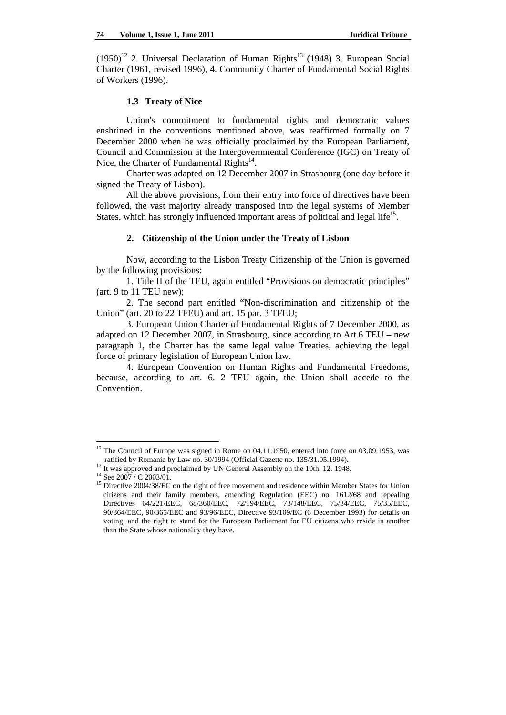$(1950)^{12}$  2. Universal Declaration of Human Rights<sup>13</sup> (1948) 3. European Social Charter (1961, revised 1996), 4. Community Charter of Fundamental Social Rights of Workers (1996).

## **1.3 Treaty of Nice**

Union's commitment to fundamental rights and democratic values enshrined in the conventions mentioned above, was reaffirmed formally on 7 December 2000 when he was officially proclaimed by the European Parliament, Council and Commission at the Intergovernmental Conference (IGC) on Treaty of Nice, the Charter of Fundamental Rights $^{14}$ .

Charter was adapted on 12 December 2007 in Strasbourg (one day before it signed the Treaty of Lisbon).

All the above provisions, from their entry into force of directives have been followed, the vast majority already transposed into the legal systems of Member States, which has strongly influenced important areas of political and legal life<sup>15</sup>.

#### **2. Citizenship of the Union under the Treaty of Lisbon**

Now, according to the Lisbon Treaty Citizenship of the Union is governed by the following provisions:

1. Title II of the TEU, again entitled "Provisions on democratic principles" (art. 9 to 11 TEU new);

2. The second part entitled "Non-discrimination and citizenship of the Union" (art. 20 to 22 TFEU) and art. 15 par. 3 TFEU;

3. European Union Charter of Fundamental Rights of 7 December 2000, as adapted on 12 December 2007, in Strasbourg, since according to Art.6 TEU – new paragraph 1, the Charter has the same legal value Treaties, achieving the legal force of primary legislation of European Union law.

4. European Convention on Human Rights and Fundamental Freedoms, because, according to art. 6. 2 TEU again, the Union shall accede to the Convention.

 $12$  The Council of Europe was signed in Rome on 04.11.1950, entered into force on 03.09.1953, was ratified by Romania by Law no. 30/1994 (Official Gazette no. 135/31.05.1994). <sup>13</sup> It was approved and proclaimed by UN General Assembly on the 10th. 12. 1948. <sup>14</sup> See 2007 / C 2003/01.

<sup>&</sup>lt;sup>15</sup> Directive 2004/38/EC on the right of free movement and residence within Member States for Union citizens and their family members, amending Regulation (EEC) no. 1612/68 and repealing Directives 64/221/EEC, 68/360/EEC, 72/194/EEC, 73/148/EEC, 75/34/EEC, 75/35/EEC, 90/364/EEC, 90/365/EEC and 93/96/EEC, Directive 93/109/EC (6 December 1993) for details on voting, and the right to stand for the European Parliament for EU citizens who reside in another than the State whose nationality they have.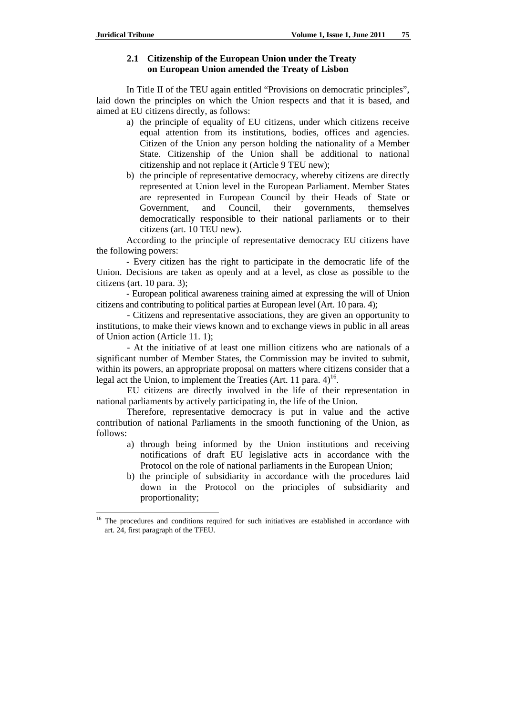## **2.1 Citizenship of the European Union under the Treaty on European Union amended the Treaty of Lisbon**

In Title II of the TEU again entitled "Provisions on democratic principles", laid down the principles on which the Union respects and that it is based, and aimed at EU citizens directly, as follows:

- a) the principle of equality of EU citizens, under which citizens receive equal attention from its institutions, bodies, offices and agencies. Citizen of the Union any person holding the nationality of a Member State. Citizenship of the Union shall be additional to national citizenship and not replace it (Article 9 TEU new);
- b) the principle of representative democracy, whereby citizens are directly represented at Union level in the European Parliament. Member States are represented in European Council by their Heads of State or Government, and Council, their governments, themselves democratically responsible to their national parliaments or to their citizens (art. 10 TEU new).

According to the principle of representative democracy EU citizens have the following powers:

- Every citizen has the right to participate in the democratic life of the Union. Decisions are taken as openly and at a level, as close as possible to the citizens (art. 10 para. 3);

- European political awareness training aimed at expressing the will of Union citizens and contributing to political parties at European level (Art. 10 para. 4);

- Citizens and representative associations, they are given an opportunity to institutions, to make their views known and to exchange views in public in all areas of Union action (Article 11. 1);

- At the initiative of at least one million citizens who are nationals of a significant number of Member States, the Commission may be invited to submit, within its powers, an appropriate proposal on matters where citizens consider that a legal act the Union, to implement the Treaties (Art. 11 para.  $4^{16}$ .

EU citizens are directly involved in the life of their representation in national parliaments by actively participating in, the life of the Union.

Therefore, representative democracy is put in value and the active contribution of national Parliaments in the smooth functioning of the Union, as follows:

- a) through being informed by the Union institutions and receiving notifications of draft EU legislative acts in accordance with the Protocol on the role of national parliaments in the European Union;
- b) the principle of subsidiarity in accordance with the procedures laid down in the Protocol on the principles of subsidiarity and proportionality;

<sup>16</sup> 16 The procedures and conditions required for such initiatives are established in accordance with art. 24, first paragraph of the TFEU.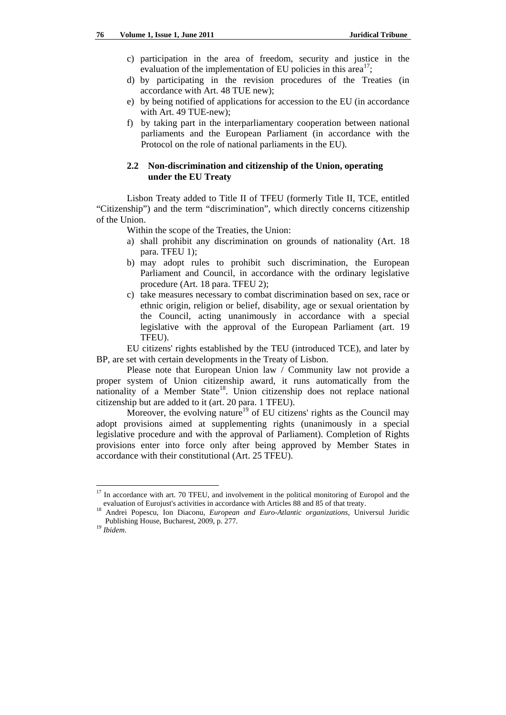- c) participation in the area of freedom, security and justice in the evaluation of the implementation of EU policies in this area<sup>17</sup>;
- d) by participating in the revision procedures of the Treaties (in accordance with Art. 48 TUE new);
- e) by being notified of applications for accession to the EU (in accordance with Art. 49 TUE-new);
- f) by taking part in the interparliamentary cooperation between national parliaments and the European Parliament (in accordance with the Protocol on the role of national parliaments in the EU).

## **2.2 Non-discrimination and citizenship of the Union, operating under the EU Treaty**

Lisbon Treaty added to Title II of TFEU (formerly Title II, TCE, entitled "Citizenship") and the term "discrimination", which directly concerns citizenship of the Union.

Within the scope of the Treaties, the Union:

- a) shall prohibit any discrimination on grounds of nationality (Art. 18 para. TFEU 1);
- b) may adopt rules to prohibit such discrimination, the European Parliament and Council, in accordance with the ordinary legislative procedure (Art. 18 para. TFEU 2);
- c) take measures necessary to combat discrimination based on sex, race or ethnic origin, religion or belief, disability, age or sexual orientation by the Council, acting unanimously in accordance with a special legislative with the approval of the European Parliament (art. 19 TFEU).

EU citizens' rights established by the TEU (introduced TCE), and later by BP, are set with certain developments in the Treaty of Lisbon.

Please note that European Union law / Community law not provide a proper system of Union citizenship award, it runs automatically from the nationality of a Member State<sup>18</sup>. Union citizenship does not replace national citizenship but are added to it (art. 20 para. 1 TFEU).

Moreover, the evolving nature<sup>19</sup> of EU citizens' rights as the Council may adopt provisions aimed at supplementing rights (unanimously in a special legislative procedure and with the approval of Parliament). Completion of Rights provisions enter into force only after being approved by Member States in accordance with their constitutional (Art. 25 TFEU).

 $17$  In accordance with art. 70 TFEU, and involvement in the political monitoring of Europol and the evaluation of Eurojust's activities in accordance with Articles 88 and 85 of that treaty.

Andrei Popescu, Ion Diaconu, *European and Euro-Atlantic organizations*, Universul Juridic Publishing House, Bucharest, 2009, p. 277. 19 *Ibidem*.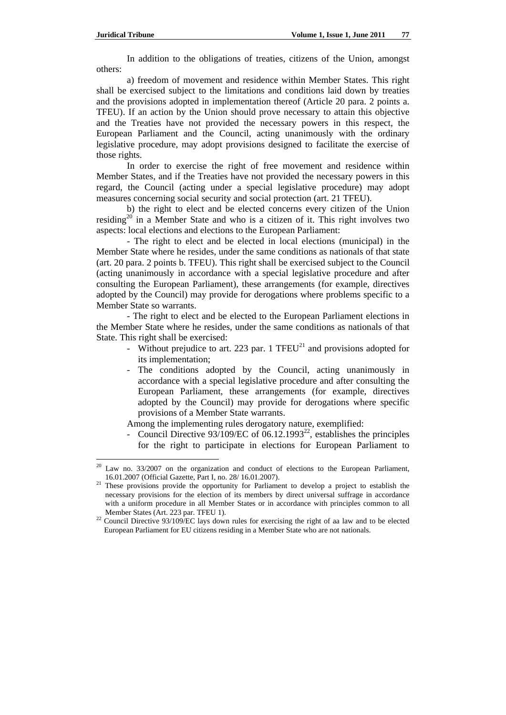In addition to the obligations of treaties, citizens of the Union, amongst others:

a) freedom of movement and residence within Member States. This right shall be exercised subject to the limitations and conditions laid down by treaties and the provisions adopted in implementation thereof (Article 20 para. 2 points a. TFEU). If an action by the Union should prove necessary to attain this objective and the Treaties have not provided the necessary powers in this respect, the European Parliament and the Council, acting unanimously with the ordinary legislative procedure, may adopt provisions designed to facilitate the exercise of those rights.

In order to exercise the right of free movement and residence within Member States, and if the Treaties have not provided the necessary powers in this regard, the Council (acting under a special legislative procedure) may adopt measures concerning social security and social protection (art. 21 TFEU).

b) the right to elect and be elected concerns every citizen of the Union residing<sup>20</sup> in a Member State and who is a citizen of it. This right involves two aspects: local elections and elections to the European Parliament:

- The right to elect and be elected in local elections (municipal) in the Member State where he resides, under the same conditions as nationals of that state (art. 20 para. 2 points b. TFEU). This right shall be exercised subject to the Council (acting unanimously in accordance with a special legislative procedure and after consulting the European Parliament), these arrangements (for example, directives adopted by the Council) may provide for derogations where problems specific to a Member State so warrants.

- The right to elect and be elected to the European Parliament elections in the Member State where he resides, under the same conditions as nationals of that State. This right shall be exercised:

- Without prejudice to art. 223 par. 1 TFEU $^{21}$  and provisions adopted for its implementation;
- The conditions adopted by the Council, acting unanimously in accordance with a special legislative procedure and after consulting the European Parliament, these arrangements (for example, directives adopted by the Council) may provide for derogations where specific provisions of a Member State warrants.

Among the implementing rules derogatory nature, exemplified:

Council Directive 93/109/EC of  $06.12.1993^{22}$ , establishes the principles for the right to participate in elections for European Parliament to

 $\overline{a}$ <sup>20</sup> Law no. 33/2007 on the organization and conduct of elections to the European Parliament, 16.01.2007 (Official Gazette, Part I, no. 28/ 16.01.2007).

<sup>&</sup>lt;sup>21</sup> These provisions provide the opportunity for Parliament to develop a project to establish the necessary provisions for the election of its members by direct universal suffrage in accordance with a uniform procedure in all Member States or in accordance with principles common to all

Member States (Art. 223 par. TFEU 1).<br><sup>22</sup> Council Directive 93/109/EC lays down rules for exercising the right of aa law and to be elected European Parliament for EU citizens residing in a Member State who are not nationals.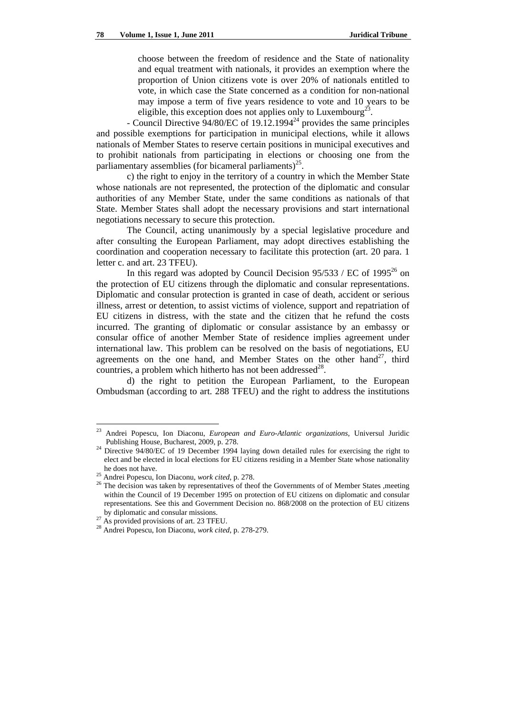choose between the freedom of residence and the State of nationality and equal treatment with nationals, it provides an exemption where the proportion of Union citizens vote is over 20% of nationals entitled to vote, in which case the State concerned as a condition for non-national may impose a term of five years residence to vote and 10 years to be eligible, this exception does not applies only to Luxembourg<sup>23</sup>.

- Council Directive  $94/80$ /EC of  $19.12.1994<sup>24</sup>$  provides the same principles and possible exemptions for participation in municipal elections, while it allows nationals of Member States to reserve certain positions in municipal executives and to prohibit nationals from participating in elections or choosing one from the parliamentary assemblies (for bicameral parliaments)<sup>25</sup>.

c) the right to enjoy in the territory of a country in which the Member State whose nationals are not represented, the protection of the diplomatic and consular authorities of any Member State, under the same conditions as nationals of that State. Member States shall adopt the necessary provisions and start international negotiations necessary to secure this protection.

The Council, acting unanimously by a special legislative procedure and after consulting the European Parliament, may adopt directives establishing the coordination and cooperation necessary to facilitate this protection (art. 20 para. 1 letter c. and art. 23 TFEU).

In this regard was adopted by Council Decision  $95/533 /$  EC of  $1995^{26}$  on the protection of EU citizens through the diplomatic and consular representations. Diplomatic and consular protection is granted in case of death, accident or serious illness, arrest or detention, to assist victims of violence, support and repatriation of EU citizens in distress, with the state and the citizen that he refund the costs incurred. The granting of diplomatic or consular assistance by an embassy or consular office of another Member State of residence implies agreement under international law. This problem can be resolved on the basis of negotiations, EU agreements on the one hand, and Member States on the other hand<sup>27</sup>, third countries, a problem which hitherto has not been addressed<sup>28</sup>.

d) the right to petition the European Parliament, to the European Ombudsman (according to art. 288 TFEU) and the right to address the institutions

<sup>23</sup> 23 Andrei Popescu, Ion Diaconu, *European and Euro-Atlantic organizations*, Universul Juridic

Publishing House, Bucharest, 2009, p. 278. 24 Directive 94/80/EC of 19 December 1994 laying down detailed rules for exercising the right to elect and be elected in local elections for EU citizens residing in a Member State whose nationality

he does not have. 25 Andrei Popescu, Ion Diaconu, *work cited*, p. 278. 26 The decision was taken by representatives of theof the Governments of of Member States ,meeting within the Council of 19 December 1995 on protection of EU citizens on diplomatic and consular representations. See this and Government Decision no. 868/2008 on the protection of EU citizens

by diplomatic and consular missions. 27 As provided provisions of art. 23 TFEU. 28 Andrei Popescu, Ion Diaconu, *work cited*, p. 278-279.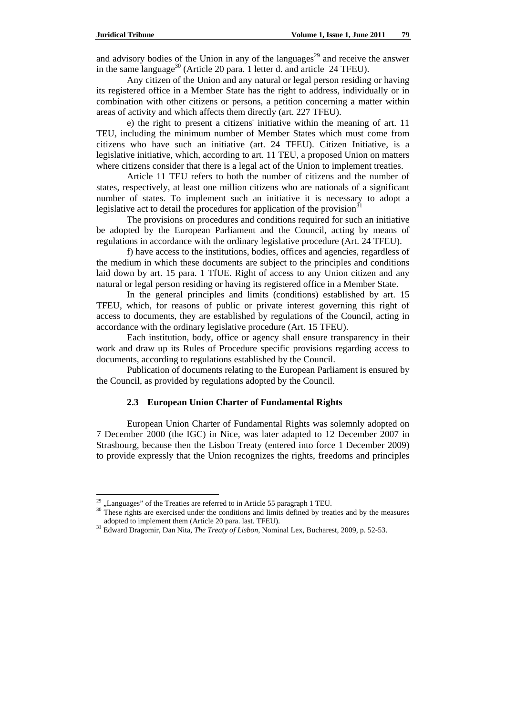and advisory bodies of the Union in any of the languages<sup>29</sup> and receive the answer in the same language<sup>30</sup> (Article 20 para. 1 letter d. and article 24 TFEU).

Any citizen of the Union and any natural or legal person residing or having its registered office in a Member State has the right to address, individually or in combination with other citizens or persons, a petition concerning a matter within areas of activity and which affects them directly (art. 227 TFEU).

e) the right to present a citizens' initiative within the meaning of art. 11 TEU, including the minimum number of Member States which must come from citizens who have such an initiative (art. 24 TFEU). Citizen Initiative, is a legislative initiative, which, according to art. 11 TEU, a proposed Union on matters where citizens consider that there is a legal act of the Union to implement treaties.

Article 11 TEU refers to both the number of citizens and the number of states, respectively, at least one million citizens who are nationals of a significant number of states. To implement such an initiative it is necessary to adopt a legislative act to detail the procedures for application of the provision<sup>3</sup>

The provisions on procedures and conditions required for such an initiative be adopted by the European Parliament and the Council, acting by means of regulations in accordance with the ordinary legislative procedure (Art. 24 TFEU).

f) have access to the institutions, bodies, offices and agencies, regardless of the medium in which these documents are subject to the principles and conditions laid down by art. 15 para. 1 TfUE. Right of access to any Union citizen and any natural or legal person residing or having its registered office in a Member State.

In the general principles and limits (conditions) established by art. 15 TFEU, which, for reasons of public or private interest governing this right of access to documents, they are established by regulations of the Council, acting in accordance with the ordinary legislative procedure (Art. 15 TFEU).

Each institution, body, office or agency shall ensure transparency in their work and draw up its Rules of Procedure specific provisions regarding access to documents, according to regulations established by the Council.

Publication of documents relating to the European Parliament is ensured by the Council, as provided by regulations adopted by the Council.

### **2.3 European Union Charter of Fundamental Rights**

European Union Charter of Fundamental Rights was solemnly adopted on 7 December 2000 (the IGC) in Nice, was later adapted to 12 December 2007 in Strasbourg, because then the Lisbon Treaty (entered into force 1 December 2009) to provide expressly that the Union recognizes the rights, freedoms and principles

<sup>&</sup>lt;sup>29</sup> "Languages" of the Treaties are referred to in Article 55 paragraph 1 TEU.<br><sup>30</sup> These rights are exercised under the conditions and limits defined by treaties and by the measures adopted to implement them (Article 20 para. last. TFEU). 31 Edward Dragomir, Dan Nita, *The Treaty of Lisbon*, Nominal Lex, Bucharest, 2009, p. 52-53.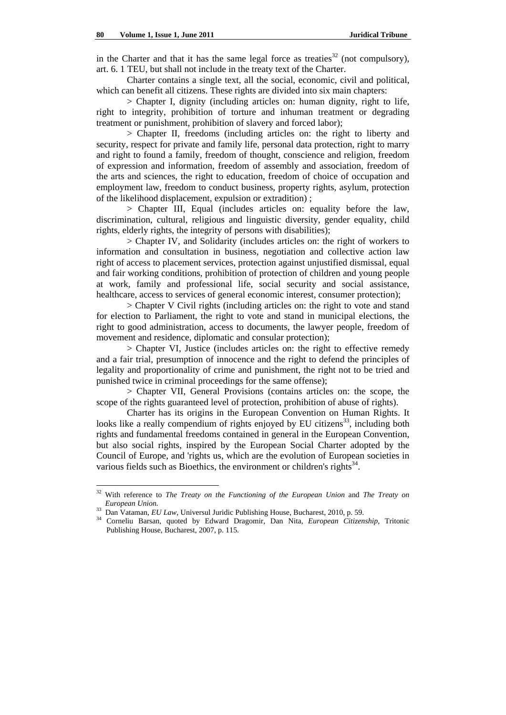in the Charter and that it has the same legal force as treaties<sup>32</sup> (not compulsory), art. 6. 1 TEU, but shall not include in the treaty text of the Charter.

Charter contains a single text, all the social, economic, civil and political, which can benefit all citizens. These rights are divided into six main chapters:

> Chapter I, dignity (including articles on: human dignity, right to life, right to integrity, prohibition of torture and inhuman treatment or degrading treatment or punishment, prohibition of slavery and forced labor);

> Chapter II, freedoms (including articles on: the right to liberty and security, respect for private and family life, personal data protection, right to marry and right to found a family, freedom of thought, conscience and religion, freedom of expression and information, freedom of assembly and association, freedom of the arts and sciences, the right to education, freedom of choice of occupation and employment law, freedom to conduct business, property rights, asylum, protection of the likelihood displacement, expulsion or extradition) ;

> Chapter III, Equal (includes articles on: equality before the law, discrimination, cultural, religious and linguistic diversity, gender equality, child rights, elderly rights, the integrity of persons with disabilities);

> Chapter IV, and Solidarity (includes articles on: the right of workers to information and consultation in business, negotiation and collective action law right of access to placement services, protection against unjustified dismissal, equal and fair working conditions, prohibition of protection of children and young people at work, family and professional life, social security and social assistance, healthcare, access to services of general economic interest, consumer protection);

> Chapter V Civil rights (including articles on: the right to vote and stand for election to Parliament, the right to vote and stand in municipal elections, the right to good administration, access to documents, the lawyer people, freedom of movement and residence, diplomatic and consular protection);

> Chapter VI, Justice (includes articles on: the right to effective remedy and a fair trial, presumption of innocence and the right to defend the principles of legality and proportionality of crime and punishment, the right not to be tried and punished twice in criminal proceedings for the same offense);

> Chapter VII, General Provisions (contains articles on: the scope, the scope of the rights guaranteed level of protection, prohibition of abuse of rights).

Charter has its origins in the European Convention on Human Rights. It looks like a really compendium of rights enjoyed by EU citizens<sup>33</sup>, including both rights and fundamental freedoms contained in general in the European Convention, but also social rights, inspired by the European Social Charter adopted by the Council of Europe, and 'rights us, which are the evolution of European societies in various fields such as Bioethics, the environment or children's rights $^{34}$ .

<sup>32</sup> With reference to *The Treaty on the Functioning of the European Union* and *The Treaty on* 

*European Union.* 33 Dan Vataman, *EU Law*, Universul Juridic Publishing House, Bucharest, 2010, p. 59. 34 Corneliu Barsan, quoted by Edward Dragomir, Dan Nita, *European Citizenship*, Tritonic Publishing House, Bucharest, 2007, p. 115.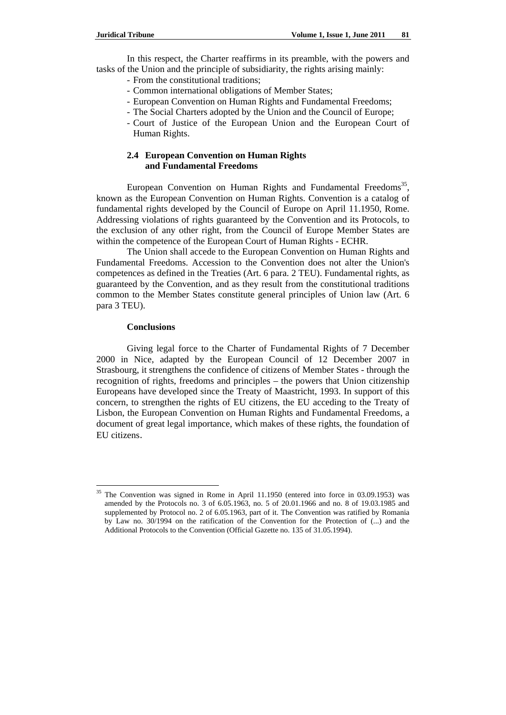In this respect, the Charter reaffirms in its preamble, with the powers and tasks of the Union and the principle of subsidiarity, the rights arising mainly:

- From the constitutional traditions;
- Common international obligations of Member States;
- European Convention on Human Rights and Fundamental Freedoms;
- The Social Charters adopted by the Union and the Council of Europe;
- Court of Justice of the European Union and the European Court of Human Rights.

## **2.4 European Convention on Human Rights and Fundamental Freedoms**

European Convention on Human Rights and Fundamental Freedoms<sup>35</sup>, known as the European Convention on Human Rights. Convention is a catalog of fundamental rights developed by the Council of Europe on April 11.1950, Rome. Addressing violations of rights guaranteed by the Convention and its Protocols, to the exclusion of any other right, from the Council of Europe Member States are within the competence of the European Court of Human Rights - ECHR.

The Union shall accede to the European Convention on Human Rights and Fundamental Freedoms. Accession to the Convention does not alter the Union's competences as defined in the Treaties (Art. 6 para. 2 TEU). Fundamental rights, as guaranteed by the Convention, and as they result from the constitutional traditions common to the Member States constitute general principles of Union law (Art. 6 para 3 TEU).

### **Conclusions**

 $\overline{a}$ 

Giving legal force to the Charter of Fundamental Rights of 7 December 2000 in Nice, adapted by the European Council of 12 December 2007 in Strasbourg, it strengthens the confidence of citizens of Member States - through the recognition of rights, freedoms and principles – the powers that Union citizenship Europeans have developed since the Treaty of Maastricht, 1993. In support of this concern, to strengthen the rights of EU citizens, the EU acceding to the Treaty of Lisbon, the European Convention on Human Rights and Fundamental Freedoms, a document of great legal importance, which makes of these rights, the foundation of EU citizens.

<sup>&</sup>lt;sup>35</sup> The Convention was signed in Rome in April 11.1950 (entered into force in 03.09.1953) was amended by the Protocols no. 3 of 6.05.1963, no. 5 of 20.01.1966 and no. 8 of 19.03.1985 and supplemented by Protocol no. 2 of 6.05.1963, part of it. The Convention was ratified by Romania by Law no. 30/1994 on the ratification of the Convention for the Protection of (...) and the Additional Protocols to the Convention (Official Gazette no. 135 of 31.05.1994).